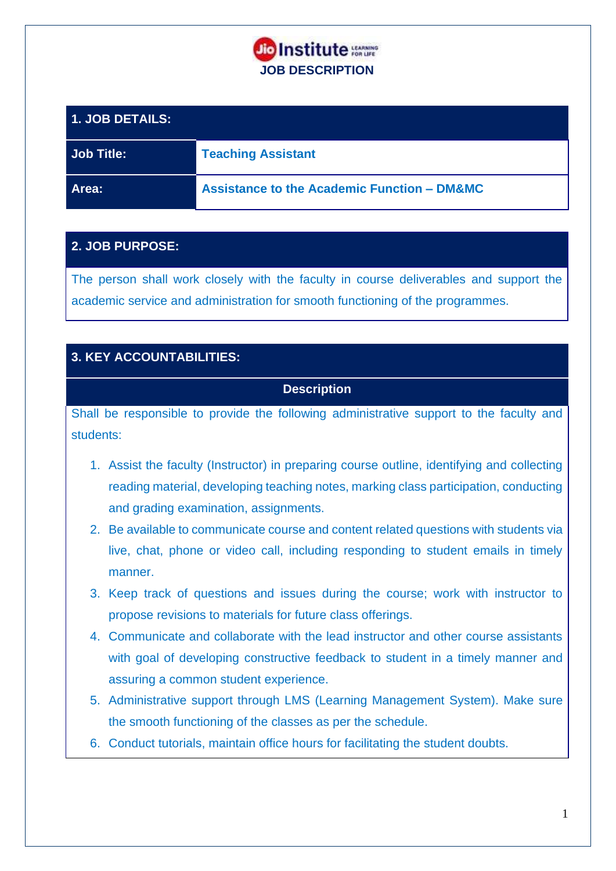

| <b>1. JOB DETAILS:</b> |                                                        |
|------------------------|--------------------------------------------------------|
| Job Title:             | <b>Teaching Assistant</b>                              |
| Area:                  | <b>Assistance to the Academic Function - DM&amp;MC</b> |

## **2. JOB PURPOSE:**

The person shall work closely with the faculty in course deliverables and support the academic service and administration for smooth functioning of the programmes.

# **3. KEY ACCOUNTABILITIES:**

### **Description**

Shall be responsible to provide the following administrative support to the faculty and students:

- 1. Assist the faculty (Instructor) in preparing course outline, identifying and collecting reading material, developing teaching notes, marking class participation, conducting and grading examination, assignments.
- 2. Be available to communicate course and content related questions with students via live, chat, phone or video call, including responding to student emails in timely manner.
- 3. Keep track of questions and issues during the course; work with instructor to propose revisions to materials for future class offerings.
- 4. Communicate and collaborate with the lead instructor and other course assistants with goal of developing constructive feedback to student in a timely manner and assuring a common student experience.
- 5. Administrative support through LMS (Learning Management System). Make sure the smooth functioning of the classes as per the schedule.
- 6. Conduct tutorials, maintain office hours for facilitating the student doubts.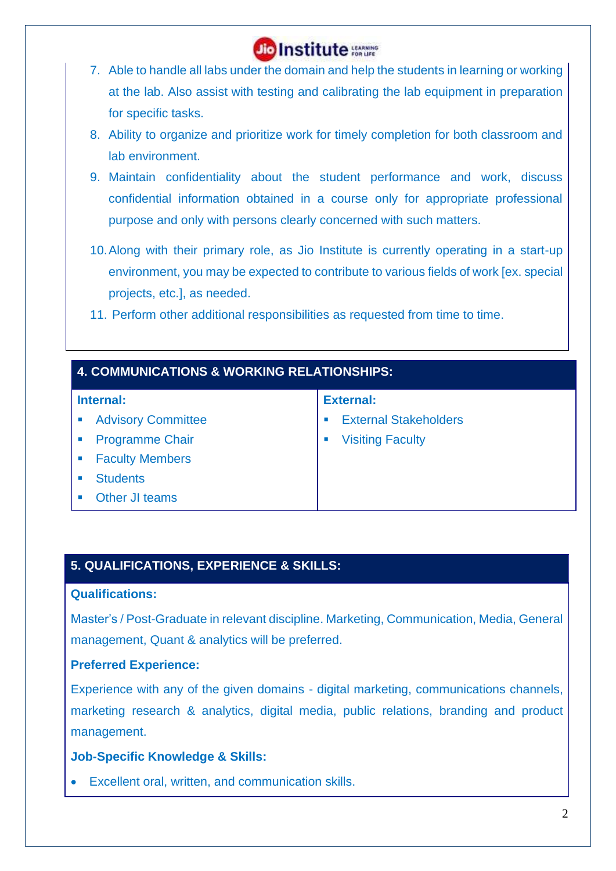

- 7. Able to handle all labs under the domain and help the students in learning or working at the lab. Also assist with testing and calibrating the lab equipment in preparation for specific tasks.
- 8. Ability to organize and prioritize work for timely completion for both classroom and lab environment.
- 9. Maintain confidentiality about the student performance and work, discuss confidential information obtained in a course only for appropriate professional purpose and only with persons clearly concerned with such matters.
- 10.Along with their primary role, as Jio Institute is currently operating in a start-up environment, you may be expected to contribute to various fields of work [ex. special projects, etc.], as needed.
- 11. Perform other additional responsibilities as requested from time to time.

| <b>4. COMMUNICATIONS &amp; WORKING RELATIONSHIPS:</b> |                              |  |
|-------------------------------------------------------|------------------------------|--|
| Internal:                                             | <b>External:</b>             |  |
| <b>Advisory Committee</b>                             | <b>External Stakeholders</b> |  |
| <b>Programme Chair</b>                                | <b>Visiting Faculty</b>      |  |
| <b>Faculty Members</b>                                |                              |  |
| <b>Students</b>                                       |                              |  |
| Other JI teams                                        |                              |  |

# **5. QUALIFICATIONS, EXPERIENCE & SKILLS:**

#### **Qualifications:**

Master's / Post-Graduate in relevant discipline. Marketing, Communication, Media, General management, Quant & analytics will be preferred.

#### **Preferred Experience:**

Experience with any of the given domains - digital marketing, communications channels, marketing research & analytics, digital media, public relations, branding and product management.

#### **Job-Specific Knowledge & Skills:**

• Excellent oral, written, and communication skills.